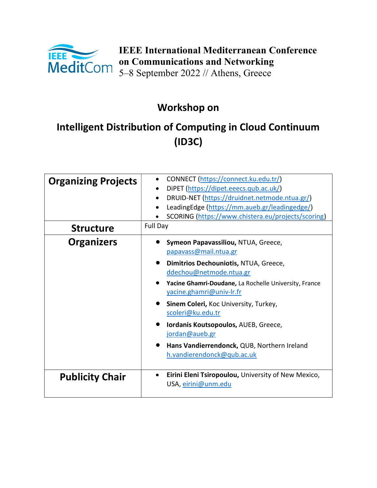

IEEE International Mediterranean Conference on Communications and Networking 5–8 September 2022 // Athens, Greece

# Workshop on

# Intelligent Distribution of Computing in Cloud Continuum (ID3C)

| <b>Organizing Projects</b> | CONNECT (https://connect.ku.edu.tr/)<br>DiPET (https://dipet.eeecs.qub.ac.uk/)<br>DRUID-NET (https://druidnet.netmode.ntua.gr/)<br>LeadingEdge (https://mm.aueb.gr/leadingedge/)<br>SCORING (https://www.chistera.eu/projects/scoring) |
|----------------------------|----------------------------------------------------------------------------------------------------------------------------------------------------------------------------------------------------------------------------------------|
| <b>Structure</b>           | Full Day                                                                                                                                                                                                                               |
| <b>Organizers</b>          | Symeon Papavassiliou, NTUA, Greece,<br>papavass@mail.ntua.gr                                                                                                                                                                           |
|                            | Dimitrios Dechouniotis, NTUA, Greece,<br>ddechou@netmode.ntua.gr                                                                                                                                                                       |
|                            | Yacine Ghamri-Doudane, La Rochelle University, France<br>yacine.ghamri@univ-lr.fr                                                                                                                                                      |
|                            | Sinem Coleri, Koc University, Turkey,<br>scoleri@ku.edu.tr                                                                                                                                                                             |
|                            | Iordanis Koutsopoulos, AUEB, Greece,<br>jordan@aueb.gr                                                                                                                                                                                 |
|                            | Hans Vandierrendonck, QUB, Northern Ireland<br>h.vandierendonck@qub.ac.uk                                                                                                                                                              |
| <b>Publicity Chair</b>     | Eirini Eleni Tsiropoulou, University of New Mexico,<br>USA, eirini@unm.edu                                                                                                                                                             |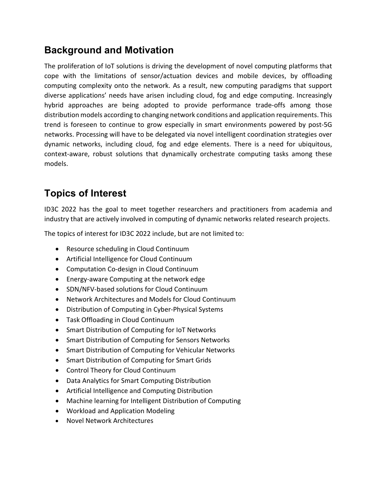## Background and Motivation

The proliferation of IoT solutions is driving the development of novel computing platforms that cope with the limitations of sensor/actuation devices and mobile devices, by offloading computing complexity onto the network. As a result, new computing paradigms that support diverse applications' needs have arisen including cloud, fog and edge computing. Increasingly hybrid approaches are being adopted to provide performance trade-offs among those distribution models according to changing network conditions and application requirements. This trend is foreseen to continue to grow especially in smart environments powered by post-5G networks. Processing will have to be delegated via novel intelligent coordination strategies over dynamic networks, including cloud, fog and edge elements. There is a need for ubiquitous, context-aware, robust solutions that dynamically orchestrate computing tasks among these models.

# Topics of Interest

ID3C 2022 has the goal to meet together researchers and practitioners from academia and industry that are actively involved in computing of dynamic networks related research projects.

The topics of interest for ID3C 2022 include, but are not limited to:

- Resource scheduling in Cloud Continuum
- Artificial Intelligence for Cloud Continuum
- Computation Co-design in Cloud Continuum
- Energy-aware Computing at the network edge
- SDN/NFV-based solutions for Cloud Continuum
- Network Architectures and Models for Cloud Continuum
- Distribution of Computing in Cyber-Physical Systems
- Task Offloading in Cloud Continuum
- Smart Distribution of Computing for IoT Networks
- Smart Distribution of Computing for Sensors Networks
- Smart Distribution of Computing for Vehicular Networks
- Smart Distribution of Computing for Smart Grids
- Control Theory for Cloud Continuum
- Data Analytics for Smart Computing Distribution
- Artificial Intelligence and Computing Distribution
- Machine learning for Intelligent Distribution of Computing
- Workload and Application Modeling
- Novel Network Architectures